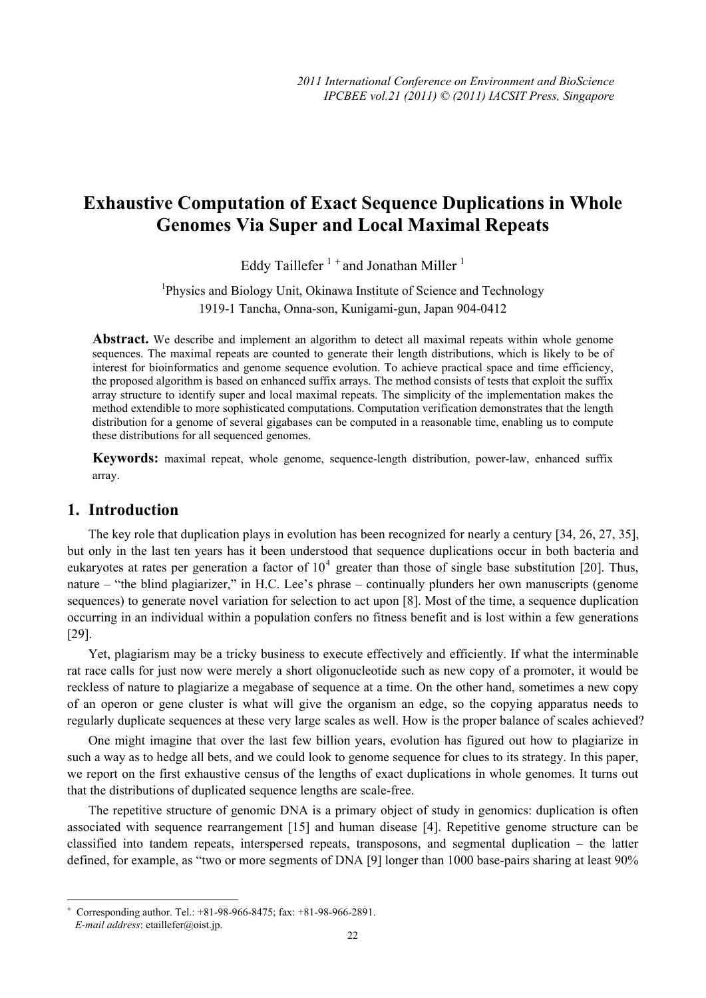# **Exhaustive Computation of Exact Sequence Duplications in Whole Genomes Via Super and Local Maximal Repeats**

Eddy Taillefer<sup> $1 +$ </sup> and Jonathan Miller<sup>1</sup>

<sup>1</sup>Physics and Biology Unit, Okinawa Institute of Science and Technology 1919-1 Tancha, Onna-son, Kunigami-gun, Japan 904-0412

**Abstract.** We describe and implement an algorithm to detect all maximal repeats within whole genome sequences. The maximal repeats are counted to generate their length distributions, which is likely to be of interest for bioinformatics and genome sequence evolution. To achieve practical space and time efficiency, the proposed algorithm is based on enhanced suffix arrays. The method consists of tests that exploit the suffix array structure to identify super and local maximal repeats. The simplicity of the implementation makes the method extendible to more sophisticated computations. Computation verification demonstrates that the length distribution for a genome of several gigabases can be computed in a reasonable time, enabling us to compute these distributions for all sequenced genomes.

**Keywords:** maximal repeat, whole genome, sequence-length distribution, power-law, enhanced suffix array.

## **1. Introduction**

 $\overline{a}$ 

The key role that duplication plays in evolution has been recognized for nearly a century [34, 26, 27, 35], but only in the last ten years has it been understood that sequence duplications occur in both bacteria and eukaryotes at rates per generation a factor of  $10^4$  greater than those of single base substitution [20]. Thus, nature – "the blind plagiarizer," in H.C. Lee's phrase – continually plunders her own manuscripts (genome sequences) to generate novel variation for selection to act upon [8]. Most of the time, a sequence duplication occurring in an individual within a population confers no fitness benefit and is lost within a few generations [29].

Yet, plagiarism may be a tricky business to execute effectively and efficiently. If what the interminable rat race calls for just now were merely a short oligonucleotide such as new copy of a promoter, it would be reckless of nature to plagiarize a megabase of sequence at a time. On the other hand, sometimes a new copy of an operon or gene cluster is what will give the organism an edge, so the copying apparatus needs to regularly duplicate sequences at these very large scales as well. How is the proper balance of scales achieved?

One might imagine that over the last few billion years, evolution has figured out how to plagiarize in such a way as to hedge all bets, and we could look to genome sequence for clues to its strategy. In this paper, we report on the first exhaustive census of the lengths of exact duplications in whole genomes. It turns out that the distributions of duplicated sequence lengths are scale-free.

The repetitive structure of genomic DNA is a primary object of study in genomics: duplication is often associated with sequence rearrangement [15] and human disease [4]. Repetitive genome structure can be classified into tandem repeats, interspersed repeats, transposons, and segmental duplication – the latter defined, for example, as "two or more segments of DNA [9] longer than 1000 base-pairs sharing at least 90%

<sup>+</sup> Corresponding author. Tel.: +81-98-966-8475; fax: +81-98-966-2891. *E-mail address*: etaillefer@oist.jp.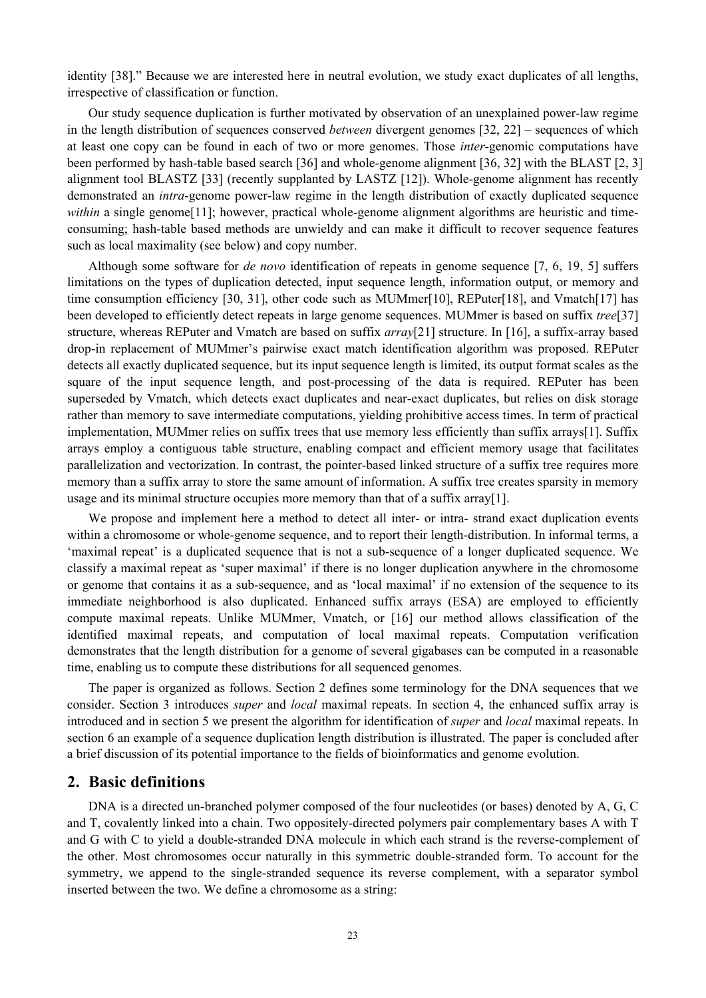identity [38]." Because we are interested here in neutral evolution, we study exact duplicates of all lengths, irrespective of classification or function.

Our study sequence duplication is further motivated by observation of an unexplained power-law regime in the length distribution of sequences conserved *between* divergent genomes [32, 22] – sequences of which at least one copy can be found in each of two or more genomes. Those *inter*-genomic computations have been performed by hash-table based search [36] and whole-genome alignment [36, 32] with the BLAST [2, 3] alignment tool BLASTZ [33] (recently supplanted by LASTZ [12]). Whole-genome alignment has recently demonstrated an *intra*-genome power-law regime in the length distribution of exactly duplicated sequence *within* a single genome<sup>[11]</sup>; however, practical whole-genome alignment algorithms are heuristic and timeconsuming; hash-table based methods are unwieldy and can make it difficult to recover sequence features such as local maximality (see below) and copy number.

Although some software for *de novo* identification of repeats in genome sequence [7, 6, 19, 5] suffers limitations on the types of duplication detected, input sequence length, information output, or memory and time consumption efficiency [30, 31], other code such as MUMmer[10], REPuter[18], and Vmatch[17] has been developed to efficiently detect repeats in large genome sequences. MUMmer is based on suffix *tree*[37] structure, whereas REPuter and Vmatch are based on suffix *array*[21] structure. In [16], a suffix-array based drop-in replacement of MUMmer's pairwise exact match identification algorithm was proposed. REPuter detects all exactly duplicated sequence, but its input sequence length is limited, its output format scales as the square of the input sequence length, and post-processing of the data is required. REPuter has been superseded by Vmatch, which detects exact duplicates and near-exact duplicates, but relies on disk storage rather than memory to save intermediate computations, yielding prohibitive access times. In term of practical implementation, MUMmer relies on suffix trees that use memory less efficiently than suffix arrays[1]. Suffix arrays employ a contiguous table structure, enabling compact and efficient memory usage that facilitates parallelization and vectorization. In contrast, the pointer-based linked structure of a suffix tree requires more memory than a suffix array to store the same amount of information. A suffix tree creates sparsity in memory usage and its minimal structure occupies more memory than that of a suffix array[1].

We propose and implement here a method to detect all inter- or intra- strand exact duplication events within a chromosome or whole-genome sequence, and to report their length-distribution. In informal terms, a 'maximal repeat' is a duplicated sequence that is not a sub-sequence of a longer duplicated sequence. We classify a maximal repeat as 'super maximal' if there is no longer duplication anywhere in the chromosome or genome that contains it as a sub-sequence, and as 'local maximal' if no extension of the sequence to its immediate neighborhood is also duplicated. Enhanced suffix arrays (ESA) are employed to efficiently compute maximal repeats. Unlike MUMmer, Vmatch, or [16] our method allows classification of the identified maximal repeats, and computation of local maximal repeats. Computation verification demonstrates that the length distribution for a genome of several gigabases can be computed in a reasonable time, enabling us to compute these distributions for all sequenced genomes.

The paper is organized as follows. Section 2 defines some terminology for the DNA sequences that we consider. Section 3 introduces *super* and *local* maximal repeats. In section 4, the enhanced suffix array is introduced and in section 5 we present the algorithm for identification of *super* and *local* maximal repeats. In section 6 an example of a sequence duplication length distribution is illustrated. The paper is concluded after a brief discussion of its potential importance to the fields of bioinformatics and genome evolution.

## **2. Basic definitions**

DNA is a directed un-branched polymer composed of the four nucleotides (or bases) denoted by A, G, C and T, covalently linked into a chain. Two oppositely-directed polymers pair complementary bases A with T and G with C to yield a double-stranded DNA molecule in which each strand is the reverse-complement of the other. Most chromosomes occur naturally in this symmetric double-stranded form. To account for the symmetry, we append to the single-stranded sequence its reverse complement, with a separator symbol inserted between the two. We define a chromosome as a string: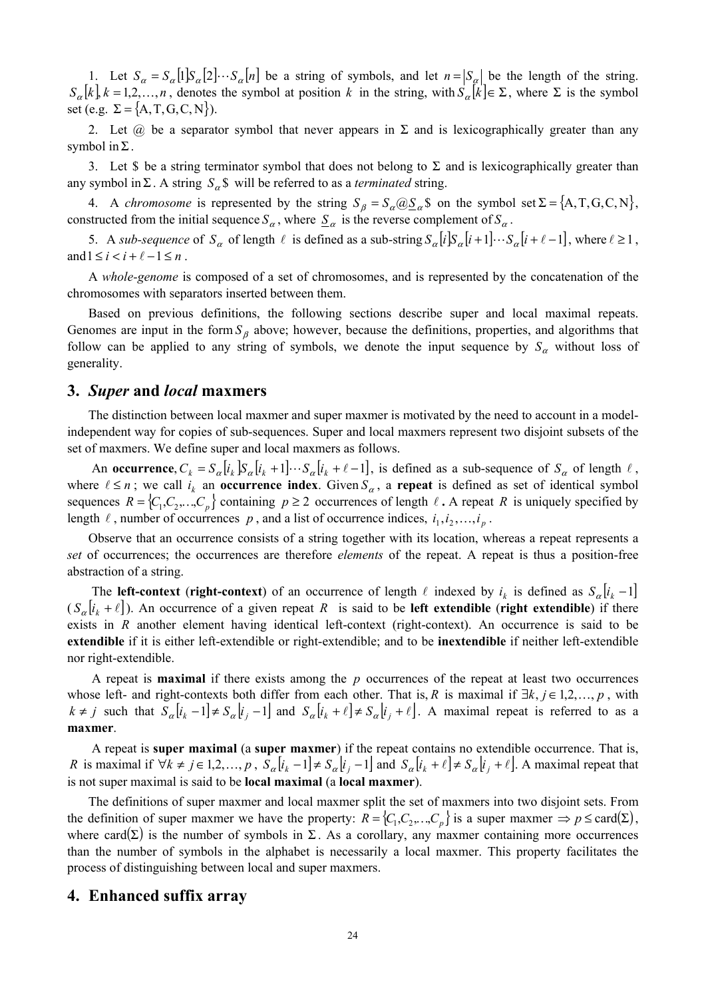1. Let  $S_\alpha = S_\alpha [1] S_\alpha [2] \cdots S_\alpha [n]$  be a string of symbols, and let  $n = |S_\alpha|$  be the length of the string.  $S_{\alpha}[k]$ ,  $k=1,2,...,n$ , denotes the symbol at position k in the string, with  $S_{\alpha}[k] \in \Sigma$ , where  $\Sigma$  is the symbol set (e.g.  $\Sigma = \{A, T, G, C, N\}$ ).

2. Let  $\omega$  be a separator symbol that never appears in  $\Sigma$  and is lexicographically greater than any symbol in  $\Sigma$ .

3. Let \$ be a string terminator symbol that does not belong to  $\Sigma$  and is lexicographically greater than any symbol in  $\Sigma$ . A string  $S_{\alpha}$ \$ will be referred to as a *terminated* string.

4. A *chromosome* is represented by the string  $S_\beta = S_\alpha \omega S_\alpha$  \$ on the symbol set  $\Sigma = \{A, T, G, C, N\}$ , constructed from the initial sequence  $S_\alpha$ , where  $S_\alpha$  is the reverse complement of  $S_\alpha$ .

5. A *sub-sequence* of  $S_\alpha$  of length  $\ell$  is defined as a sub-string  $S_\alpha[i] S_\alpha[i+1] \cdots S_\alpha[i+\ell-1]$ , where  $\ell \ge 1$ , and  $1 \leq i < i+\ell-1 \leq n$ .

A *whole-genome* is composed of a set of chromosomes, and is represented by the concatenation of the chromosomes with separators inserted between them.

Based on previous definitions, the following sections describe super and local maximal repeats. Genomes are input in the form <sup>β</sup> *S* above; however, because the definitions, properties, and algorithms that follow can be applied to any string of symbols, we denote the input sequence by  $S_\alpha$  without loss of generality.

#### **3.** *Super* **and** *local* **maxmers**

The distinction between local maxmer and super maxmer is motivated by the need to account in a modelindependent way for copies of sub-sequences. Super and local maxmers represent two disjoint subsets of the set of maxmers. We define super and local maxmers as follows.

An **occurrence**,  $C_k = S_{\alpha}[i_k]S_{\alpha}[i_k + 1] \cdots S_{\alpha}[i_k + \ell - 1]$ , is defined as a sub-sequence of  $S_{\alpha}$  of length  $\ell$ , where  $\ell \le n$ ; we call  $i_k$  an **occurrence index**. Given  $S_\alpha$ , a **repeat** is defined as set of identical symbol sequences  $R = \{C_1, C_2, \ldots, C_p\}$  containing  $p \ge 2$  occurrences of length  $\ell$ . A repeat R is uniquely specified by length  $\ell$ , number of occurrences  $p$ , and a list of occurrence indices,  $i_1, i_2, \ldots, i_p$ .

Observe that an occurrence consists of a string together with its location, whereas a repeat represents a *set* of occurrences; the occurrences are therefore *elements* of the repeat. A repeat is thus a position-free abstraction of a string.

The **left-context** (**right-context**) of an occurrence of length  $\ell$  indexed by  $i_k$  is defined as  $S_{\alpha}[i_k - 1]$  $(S_{\alpha}[i_k + \ell])$ . An occurrence of a given repeat *R* is said to be **left extendible** (**right extendible**) if there exists in *R* another element having identical left-context (right-context). An occurrence is said to be **extendible** if it is either left-extendible or right-extendible; and to be **inextendible** if neither left-extendible nor right-extendible.

 A repeat is **maximal** if there exists among the *p* occurrences of the repeat at least two occurrences whose left- and right-contexts both differ from each other. That is, *R* is maximal if  $\exists k, j \in 1, 2, ..., p$ , with  $k \neq j$  such that  $\overline{S}_{\alpha}[i_{k}-1] \neq S_{\alpha}[i_{j}-1]$  and  $S_{\alpha}[i_{k}+\ell] \neq S_{\alpha}[i_{j}+\ell]$ . A maximal repeat is referred to as a **maxmer**.

 A repeat is **super maximal** (a **super maxmer**) if the repeat contains no extendible occurrence. That is, *R* is maximal if  $\forall k \neq j \in 1, 2, ..., p$ ,  $S_{\alpha}[i_{k} - 1] \neq S_{\alpha}[i_{j} - 1]$  and  $S_{\alpha}[i_{k} + \ell] \neq S_{\alpha}[i_{j} + \ell]$ . A maximal repeat that is not super maximal is said to be **local maximal** (a **local maxmer**).

The definitions of super maxmer and local maxmer split the set of maxmers into two disjoint sets. From the definition of super maxmer we have the property:  $R = \{C_1, C_2, \ldots, C_p\}$  is a super maxmer  $\Rightarrow p \leq \text{card}(\Sigma)$ , where card  $(\Sigma)$  is the number of symbols in  $\Sigma$ . As a corollary, any maxmer containing more occurrences than the number of symbols in the alphabet is necessarily a local maxmer. This property facilitates the process of distinguishing between local and super maxmers.

#### **4. Enhanced suffix array**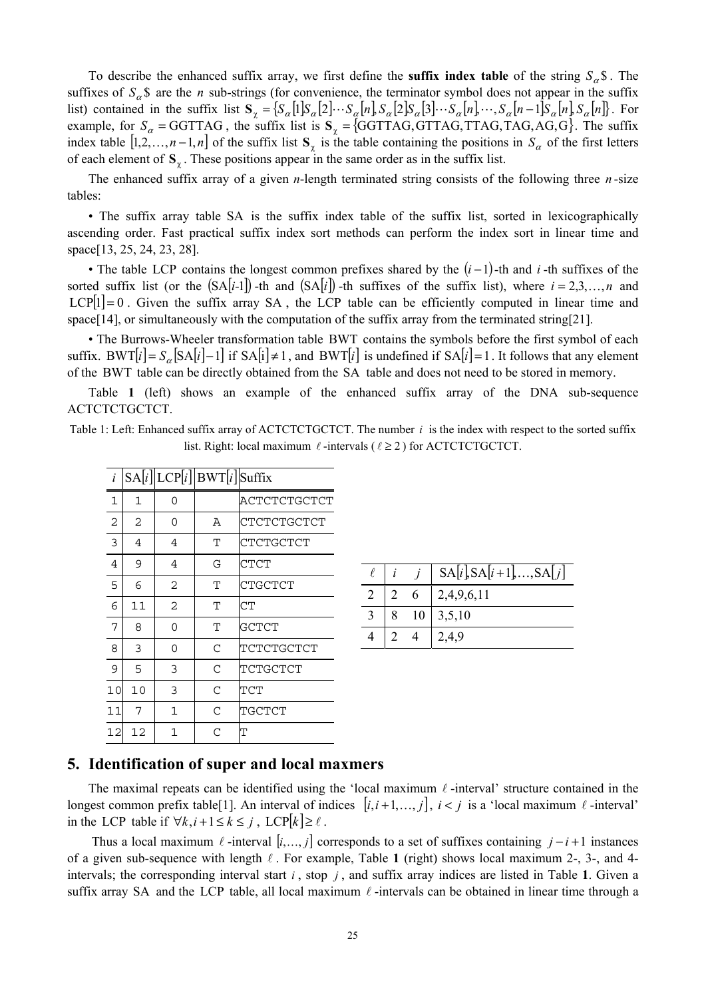To describe the enhanced suffix array, we first define the **suffix index table** of the string  $S_{\alpha}$ \$. The suffixes of  $S_a$ \$ are the *n* sub-strings (for convenience, the terminator symbol does not appear in the suffix list) contained in the suffix list  ${\bf S}_{\chi} = {\cal S}_{\alpha}[1] {\cal S}_{\alpha}[2] \cdots {\cal S}_{\alpha}[n]$ ,  ${\cal S}_{\alpha}[2] {\cal S}_{\alpha}[3] \cdots {\cal S}_{\alpha}[n]$ ,  ${\cal S}_{\alpha}[n-1] {\cal S}_{\alpha}[n]$ ,  ${\cal S}_{\alpha}[n]$ . For example, for  $S_\alpha$  = GGTTAG, the suffix list is  $S_\gamma$  =  $\{GGTTAG,GTTAG,TTAG,TAG,AG,G\}$ . The suffix index table  $[1,2,\ldots,n-1,n]$  of the suffix list **S**<sub>x</sub> is the table containing the positions in  $S_\alpha$  of the first letters of each element of  $S_\gamma$ . These positions appear in the same order as in the suffix list.

The enhanced suffix array of a given *n*-length terminated string consists of the following three *n* -size tables:

• The suffix array table SA is the suffix index table of the suffix list, sorted in lexicographically ascending order. Fast practical suffix index sort methods can perform the index sort in linear time and space[13, 25, 24, 23, 28].

• The table LCP contains the longest common prefixes shared by the  $(i - 1)$ -th and *i*-th suffixes of the sorted suffix list (or the  $(SA|i-1|)$ -th and  $(SA|i)$ -th suffixes of the suffix list), where  $i = 2,3,...,n$  and  $LCP[1] = 0$ . Given the suffix array SA, the LCP table can be efficiently computed in linear time and space[14], or simultaneously with the computation of the suffix array from the terminated string[21].

• The Burrows-Wheeler transformation table BWT contains the symbols before the first symbol of each suffix. BWT[ $i$ ] =  $S_{\alpha}$ [SA[ $i$ ] –1] if SA[ $i$ ]  $\neq$  1, and BWT[ $i$ ] is undefined if SA[ $i$ ] = 1. It follows that any element of the BWT table can be directly obtained from the SA table and does not need to be stored in memory.

Table **1** (left) shows an example of the enhanced suffix array of the DNA sub-sequence ACTCTCTGCTCT.

Table 1: Left: Enhanced suffix array of ACTCTCTGCTCT. The number *i* is the index with respect to the sorted suffix list. Right: local maximum  $\ell$ -intervals ( $\ell \geq 2$ ) for ACTCTCTGCTCT.

| i  |    |                | $SA[i]$ LCP $[i]$ BWT $[i]$ Suffix |              |
|----|----|----------------|------------------------------------|--------------|
| 1  | 1  | 0              |                                    | ACTCTCTGCTCT |
| 2  | 2  | 0              | Α                                  | CTCTCTGCTCT  |
| 3  | 4  | 4              | т                                  | CTCTGCTCT    |
| 4  | 9  | 4              | G                                  | CTCT         |
| 5  | 6  | $\overline{2}$ | т                                  | CTGCTCT      |
| 6  | 11 | 2              | т                                  | СT           |
| 7  | 8  | 0              | т                                  | GCTCT        |
| 8  | 3  | 0              | C                                  | TCTCTGCTCT   |
| 9  | 5  | 3              | C                                  | TCTGCTCT     |
| 10 | 10 | 3              | C                                  | TCT          |
| 11 | 7  | 1              | $\mathcal{C}$                      | TGCTCT       |
| 12 | 12 | 1              | C                                  | Т            |
|    |    |                |                                    |              |

|   |   | $j$   SA[i], SA[i+1], , SA[j] |
|---|---|-------------------------------|
| 2 | 6 | 2,4,9,6,11                    |
|   |   | 8 10 3,5,10                   |
|   |   | 2,4,9                         |

#### **5. Identification of super and local maxmers**

The maximal repeats can be identified using the 'local maximum  $\ell$  -interval' structure contained in the longest common prefix table<sup>[1]</sup>. An interval of indices  $[i, i+1, \ldots, j]$ ,  $i < j$  is a 'local maximum  $\ell$ -interval' in the LCP table if  $\forall k, i+1 \leq k \leq j$ , LCP $[k] \geq \ell$ .

Thus a local maximum  $\ell$  -interval  $[i, ..., j]$  corresponds to a set of suffixes containing  $j - i + 1$  instances of a given sub-sequence with length  $\ell$ . For example, Table 1 (right) shows local maximum 2-, 3-, and 4intervals; the corresponding interval start  $i$ , stop  $j$ , and suffix array indices are listed in Table 1. Given a suffix array SA and the LCP table, all local maximum  $\ell$ -intervals can be obtained in linear time through a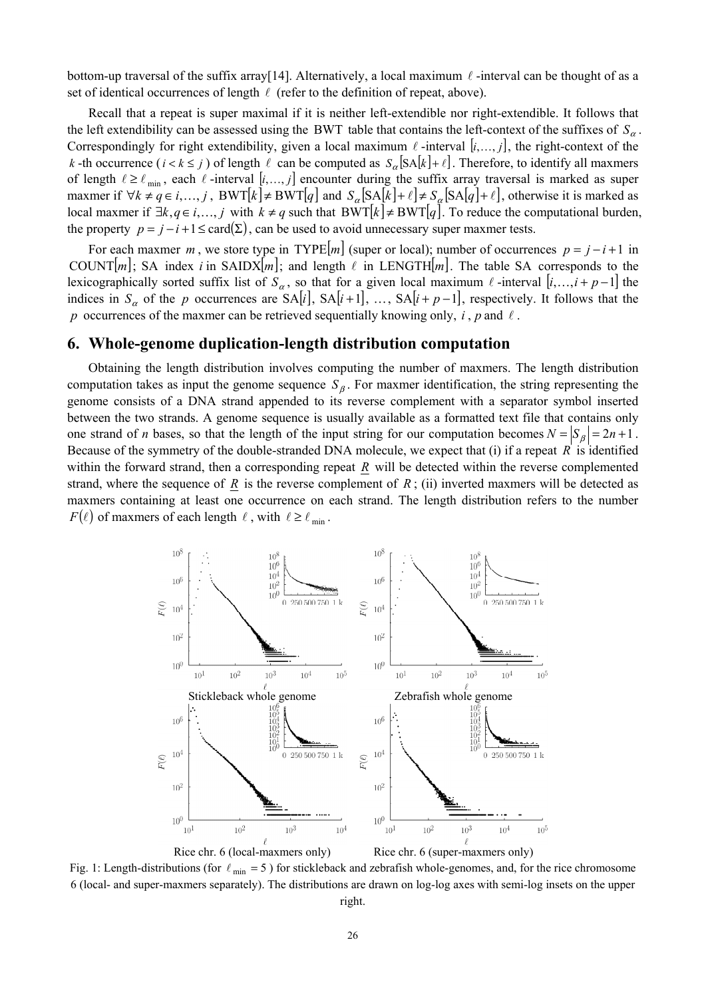bottom-up traversal of the suffix array[14]. Alternatively, a local maximum  $\ell$ -interval can be thought of as a set of identical occurrences of length  $\ell$  (refer to the definition of repeat, above).

Recall that a repeat is super maximal if it is neither left-extendible nor right-extendible. It follows that the left extendibility can be assessed using the BWT table that contains the left-context of the suffixes of  $S_\alpha$ . Correspondingly for right extendibility, given a local maximum  $\ell$  -interval  $[i, ..., j]$ , the right-context of the *k* -th occurrence  $(i < k \leq j)$  of length  $\ell$  can be computed as  $S_{\alpha}[SA[k]+\ell]$ . Therefore, to identify all maxmers of length  $\ell \geq \ell_{\min}$ , each  $\ell$ -interval  $[i, ..., j]$  encounter during the suffix array traversal is marked as super maxmer if  $\forall k \neq q \in i,..., j$ ,  $BWT[k] \neq BWT[q]$  and  $S_{\alpha}[SA[k]+\ell] \neq S_{\alpha}[SA[q]+\ell]$ , otherwise it is marked as local maxmer if  $\exists k, q \in i, ..., j$  with  $k \neq q$  such that BWT[ $k$ ] ≠ BWT[ $q$ ]. To reduce the computational burden, the property  $p = j - i + 1 \leq \text{card}(\Sigma)$ , can be used to avoid unnecessary super maxmer tests.

For each maxmer *m*, we store type in TYPE $[m]$  (super or local); number of occurrences  $p = j - i + 1$  in COUNT  $[m]$ ; SA index *i* in SAIDX  $[m]$ ; and length  $\ell$  in LENGTH  $[m]$ . The table SA corresponds to the lexicographically sorted suffix list of  $S_\alpha$ , so that for a given local maximum  $\ell$ -interval  $[i, ..., i+p-1]$  the indices in  $S_\alpha$  of the *p* occurrences are  $SA[i], SA[i+1], ..., SA[i+p-1]$ , respectively. It follows that the *p* occurrences of the maxmer can be retrieved sequentially knowing only,  $i$ ,  $p$  and  $l$ .

## **6. Whole-genome duplication-length distribution computation**

Obtaining the length distribution involves computing the number of maxmers. The length distribution computation takes as input the genome sequence <sup>β</sup> *S* . For maxmer identification, the string representing the genome consists of a DNA strand appended to its reverse complement with a separator symbol inserted between the two strands. A genome sequence is usually available as a formatted text file that contains only one strand of *n* bases, so that the length of the input string for our computation becomes  $N = |S_B| = 2n + 1$ . Because of the symmetry of the double-stranded DNA molecule, we expect that (i) if a repeat *R* is identified within the forward strand, then a corresponding repeat *R* will be detected within the reverse complemented strand, where the sequence of *R* is the reverse complement of  $R$ ; (ii) inverted maxmers will be detected as maxmers containing at least one occurrence on each strand. The length distribution refers to the number  $F(\ell)$  of maxmers of each length  $\ell$ , with  $\ell \geq \ell_{\min}$ .



Fig. 1: Length-distributions (for  $\ell_{\rm min} = 5$ ) for stickleback and zebrafish whole-genomes, and, for the rice chromosome 6 (local- and super-maxmers separately). The distributions are drawn on log-log axes with semi-log insets on the upper right.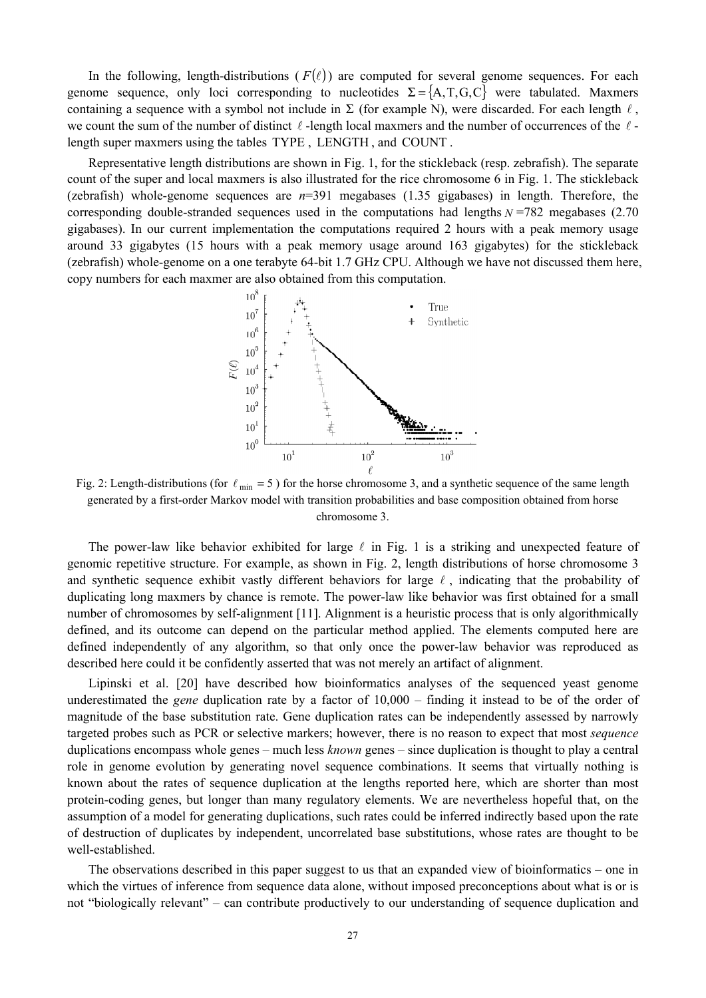In the following, length-distributions ( $F(\ell)$ ) are computed for several genome sequences. For each genome sequence, only loci corresponding to nucleotides  $\Sigma = \{A, T, G, C\}$  were tabulated. Maxmers containing a sequence with a symbol not include in  $\Sigma$  (for example N), were discarded. For each length  $\ell$ , we count the sum of the number of distinct  $\ell$ -length local maxmers and the number of occurrences of the  $\ell$ length super maxmers using the tables TYPE , LENGTH , and COUNT .

Representative length distributions are shown in Fig. 1, for the stickleback (resp. zebrafish). The separate count of the super and local maxmers is also illustrated for the rice chromosome 6 in Fig. 1. The stickleback (zebrafish) whole-genome sequences are *n*=391 megabases (1.35 gigabases) in length. Therefore, the corresponding double-stranded sequences used in the computations had lengths *N* =782 megabases (2.70 gigabases). In our current implementation the computations required 2 hours with a peak memory usage around 33 gigabytes (15 hours with a peak memory usage around 163 gigabytes) for the stickleback (zebrafish) whole-genome on a one terabyte 64-bit 1.7 GHz CPU. Although we have not discussed them here, copy numbers for each maxmer are also obtained from this computation.



Fig. 2: Length-distributions (for  $\ell_{\text{min}} = 5$ ) for the horse chromosome 3, and a synthetic sequence of the same length generated by a first-order Markov model with transition probabilities and base composition obtained from horse chromosome 3.

The power-law like behavior exhibited for large  $\ell$  in Fig. 1 is a striking and unexpected feature of genomic repetitive structure. For example, as shown in Fig. 2, length distributions of horse chromosome 3 and synthetic sequence exhibit vastly different behaviors for large  $\ell$ , indicating that the probability of duplicating long maxmers by chance is remote. The power-law like behavior was first obtained for a small number of chromosomes by self-alignment [11]. Alignment is a heuristic process that is only algorithmically defined, and its outcome can depend on the particular method applied. The elements computed here are defined independently of any algorithm, so that only once the power-law behavior was reproduced as described here could it be confidently asserted that was not merely an artifact of alignment.

Lipinski et al. [20] have described how bioinformatics analyses of the sequenced yeast genome underestimated the *gene* duplication rate by a factor of 10,000 – finding it instead to be of the order of magnitude of the base substitution rate. Gene duplication rates can be independently assessed by narrowly targeted probes such as PCR or selective markers; however, there is no reason to expect that most *sequence* duplications encompass whole genes – much less *known* genes – since duplication is thought to play a central role in genome evolution by generating novel sequence combinations. It seems that virtually nothing is known about the rates of sequence duplication at the lengths reported here, which are shorter than most protein-coding genes, but longer than many regulatory elements. We are nevertheless hopeful that, on the assumption of a model for generating duplications, such rates could be inferred indirectly based upon the rate of destruction of duplicates by independent, uncorrelated base substitutions, whose rates are thought to be well-established.

The observations described in this paper suggest to us that an expanded view of bioinformatics – one in which the virtues of inference from sequence data alone, without imposed preconceptions about what is or is not "biologically relevant" – can contribute productively to our understanding of sequence duplication and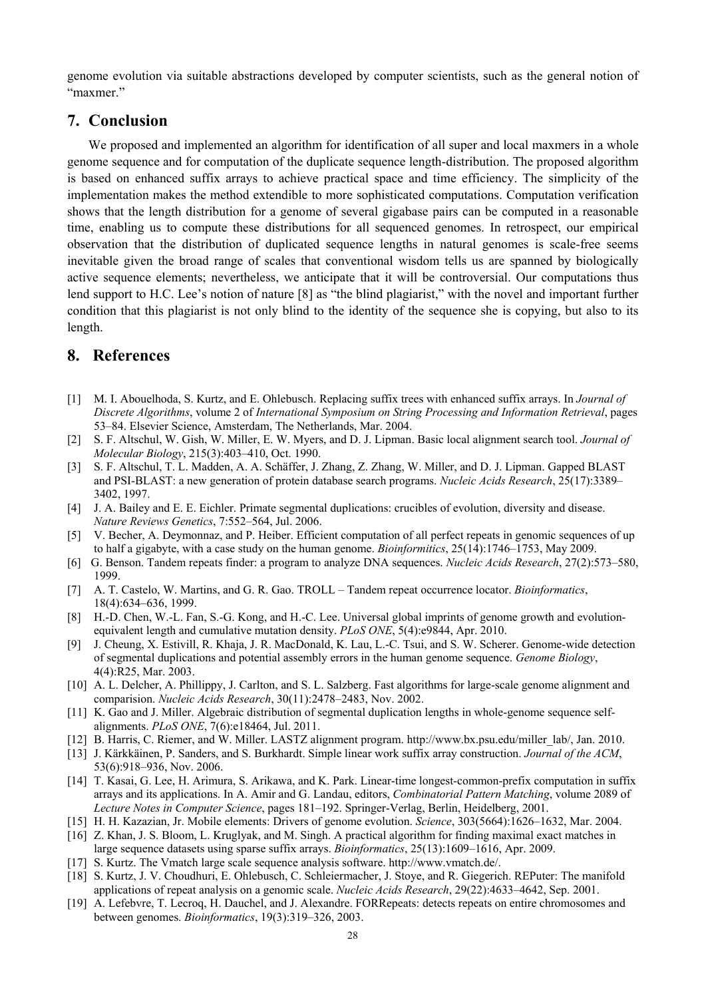genome evolution via suitable abstractions developed by computer scientists, such as the general notion of "maxmer."

## **7. Conclusion**

We proposed and implemented an algorithm for identification of all super and local maxmers in a whole genome sequence and for computation of the duplicate sequence length-distribution. The proposed algorithm is based on enhanced suffix arrays to achieve practical space and time efficiency. The simplicity of the implementation makes the method extendible to more sophisticated computations. Computation verification shows that the length distribution for a genome of several gigabase pairs can be computed in a reasonable time, enabling us to compute these distributions for all sequenced genomes. In retrospect, our empirical observation that the distribution of duplicated sequence lengths in natural genomes is scale-free seems inevitable given the broad range of scales that conventional wisdom tells us are spanned by biologically active sequence elements; nevertheless, we anticipate that it will be controversial. Our computations thus lend support to H.C. Lee's notion of nature [8] as "the blind plagiarist," with the novel and important further condition that this plagiarist is not only blind to the identity of the sequence she is copying, but also to its length.

## **8. References**

- [1] M. I. Abouelhoda, S. Kurtz, and E. Ohlebusch. Replacing suffix trees with enhanced suffix arrays. In *Journal of Discrete Algorithms*, volume 2 of *International Symposium on String Processing and Information Retrieval*, pages 53–84. Elsevier Science, Amsterdam, The Netherlands, Mar. 2004.
- [2] S. F. Altschul, W. Gish, W. Miller, E. W. Myers, and D. J. Lipman. Basic local alignment search tool. *Journal of Molecular Biology*, 215(3):403–410, Oct. 1990.
- [3] S. F. Altschul, T. L. Madden, A. A. Schäffer, J. Zhang, Z. Zhang, W. Miller, and D. J. Lipman. Gapped BLAST and PSI-BLAST: a new generation of protein database search programs. *Nucleic Acids Research*, 25(17):3389– 3402, 1997.
- [4] J. A. Bailey and E. E. Eichler. Primate segmental duplications: crucibles of evolution, diversity and disease. *Nature Reviews Genetics*, 7:552–564, Jul. 2006.
- [5] V. Becher, A. Deymonnaz, and P. Heiber. Efficient computation of all perfect repeats in genomic sequences of up to half a gigabyte, with a case study on the human genome. *Bioinformitics*, 25(14):1746–1753, May 2009.
- [6] G. Benson. Tandem repeats finder: a program to analyze DNA sequences. *Nucleic Acids Research*, 27(2):573–580, 1999.
- [7] A. T. Castelo, W. Martins, and G. R. Gao. TROLL Tandem repeat occurrence locator. *Bioinformatics*, 18(4):634–636, 1999.
- [8] H.-D. Chen, W.-L. Fan, S.-G. Kong, and H.-C. Lee. Universal global imprints of genome growth and evolutionequivalent length and cumulative mutation density. *PLoS ONE*, 5(4):e9844, Apr. 2010.
- [9] J. Cheung, X. Estivill, R. Khaja, J. R. MacDonald, K. Lau, L.-C. Tsui, and S. W. Scherer. Genome-wide detection of segmental duplications and potential assembly errors in the human genome sequence. *Genome Biology*, 4(4):R25, Mar. 2003.
- [10] A. L. Delcher, A. Phillippy, J. Carlton, and S. L. Salzberg. Fast algorithms for large-scale genome alignment and comparision. *Nucleic Acids Research*, 30(11):2478–2483, Nov. 2002.
- [11] K. Gao and J. Miller. Algebraic distribution of segmental duplication lengths in whole-genome sequence selfalignments. *PLoS ONE*, 7(6):e18464, Jul. 2011.
- [12] B. Harris, C. Riemer, and W. Miller. LASTZ alignment program. http://www.bx.psu.edu/miller\_lab/, Jan. 2010.
- [13] J. Kärkkäinen, P. Sanders, and S. Burkhardt. Simple linear work suffix array construction. *Journal of the ACM*, 53(6):918–936, Nov. 2006.
- [14] T. Kasai, G. Lee, H. Arimura, S. Arikawa, and K. Park. Linear-time longest-common-prefix computation in suffix arrays and its applications. In A. Amir and G. Landau, editors, *Combinatorial Pattern Matching*, volume 2089 of *Lecture Notes in Computer Science*, pages 181–192. Springer-Verlag, Berlin, Heidelberg, 2001.
- [15] H. H. Kazazian, Jr. Mobile elements: Drivers of genome evolution. *Science*, 303(5664):1626–1632, Mar. 2004.
- [16] Z. Khan, J. S. Bloom, L. Kruglyak, and M. Singh. A practical algorithm for finding maximal exact matches in large sequence datasets using sparse suffix arrays. *Bioinformatics*, 25(13):1609–1616, Apr. 2009.
- [17] S. Kurtz. The Vmatch large scale sequence analysis software. http://www.vmatch.de/.
- [18] S. Kurtz, J. V. Choudhuri, E. Ohlebusch, C. Schleiermacher, J. Stoye, and R. Giegerich. REPuter: The manifold applications of repeat analysis on a genomic scale. *Nucleic Acids Research*, 29(22):4633–4642, Sep. 2001.
- [19] A. Lefebvre, T. Lecroq, H. Dauchel, and J. Alexandre. FORRepeats: detects repeats on entire chromosomes and between genomes. *Bioinformatics*, 19(3):319–326, 2003.